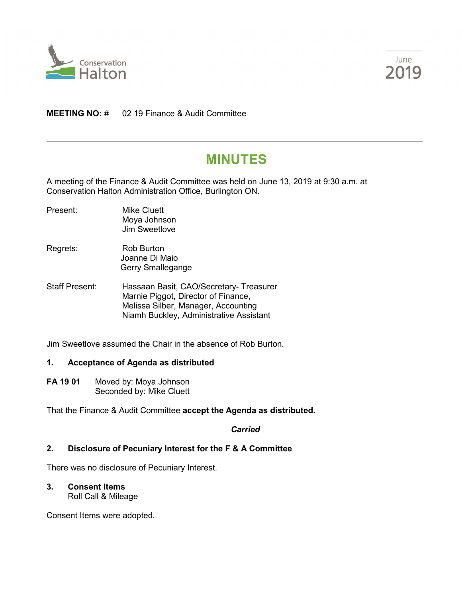



## **MEETING NO:** # 02 19 Finance & Audit Committee

# **MINUTES**

A meeting of the Finance & Audit Committee was held on June 13, 2019 at 9:30 a.m. at Conservation Halton Administration Office, Burlington ON.

- Present: Mike Cluett Moya Johnson Jim Sweetlove
- Regrets: Rob Burton Joanne Di Maio Gerry Smallegange
- Staff Present: Hassaan Basit, CAO/Secretary- Treasurer Marnie Piggot, Director of Finance, Melissa Silber, Manager, Accounting Niamh Buckley, Administrative Assistant

Jim Sweetlove assumed the Chair in the absence of Rob Burton.

### **1. Acceptance of Agenda as distributed**

**FA 19 01** Moved by: Moya Johnson Seconded by: Mike Cluett

That the Finance & Audit Committee **accept the Agenda as distributed.**

*Carried*

### **2. Disclosure of Pecuniary Interest for the F & A Committee**

There was no disclosure of Pecuniary Interest.

**3. Consent Items**

Roll Call & Mileage

Consent Items were adopted.